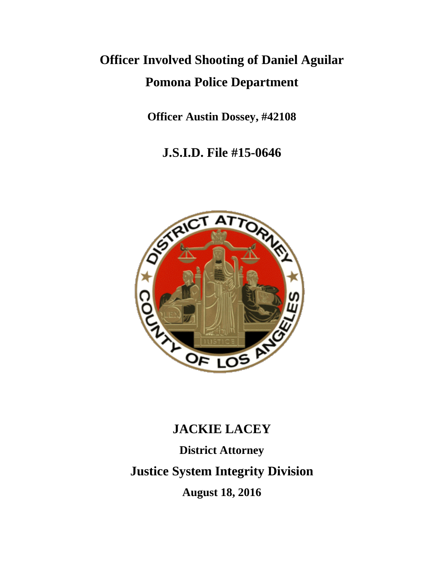# **Officer Involved Shooting of Daniel Aguilar Pomona Police Department**

**Officer Austin Dossey, #42108**

**J.S.I.D. File #15-0646**



# **JACKIE LACEY**

**District Attorney Justice System Integrity Division August 18, 2016**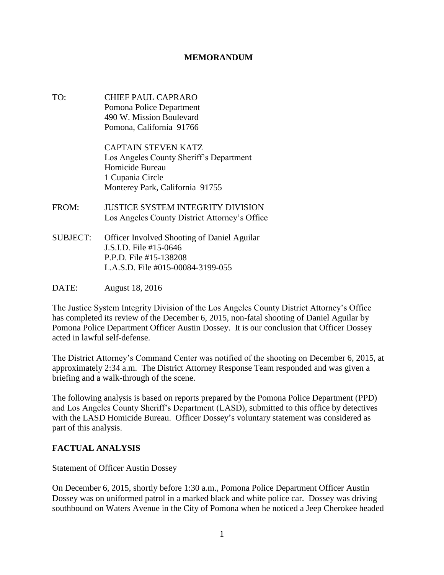#### **MEMORANDUM**

TO: CHIEF PAUL CAPRARO Pomona Police Department 490 W. Mission Boulevard Pomona, California 91766

> CAPTAIN STEVEN KATZ Los Angeles County Sheriff's Department Homicide Bureau 1 Cupania Circle Monterey Park, California 91755

- FROM: JUSTICE SYSTEM INTEGRITY DIVISION Los Angeles County District Attorney's Office
- SUBJECT: Officer Involved Shooting of Daniel Aguilar J.S.I.D. File #15-0646 P.P.D. File #15-138208 L.A.S.D. File #015-00084-3199-055

DATE: August 18, 2016

The Justice System Integrity Division of the Los Angeles County District Attorney's Office has completed its review of the December 6, 2015, non-fatal shooting of Daniel Aguilar by Pomona Police Department Officer Austin Dossey. It is our conclusion that Officer Dossey acted in lawful self-defense.

The District Attorney's Command Center was notified of the shooting on December 6, 2015, at approximately 2:34 a.m. The District Attorney Response Team responded and was given a briefing and a walk-through of the scene.

The following analysis is based on reports prepared by the Pomona Police Department (PPD) and Los Angeles County Sheriff's Department (LASD), submitted to this office by detectives with the LASD Homicide Bureau. Officer Dossey's voluntary statement was considered as part of this analysis.

#### **FACTUAL ANALYSIS**

#### Statement of Officer Austin Dossey

On December 6, 2015, shortly before 1:30 a.m., Pomona Police Department Officer Austin Dossey was on uniformed patrol in a marked black and white police car. Dossey was driving southbound on Waters Avenue in the City of Pomona when he noticed a Jeep Cherokee headed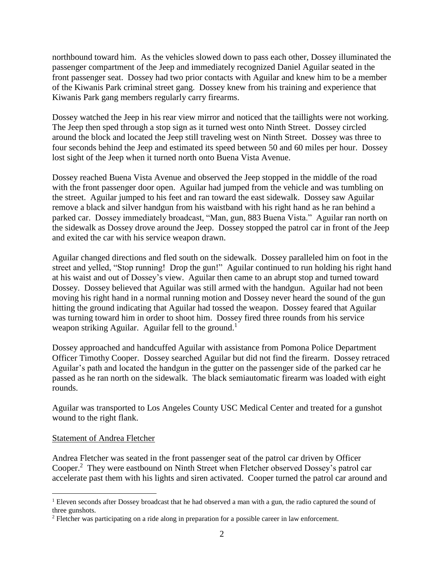northbound toward him. As the vehicles slowed down to pass each other, Dossey illuminated the passenger compartment of the Jeep and immediately recognized Daniel Aguilar seated in the front passenger seat. Dossey had two prior contacts with Aguilar and knew him to be a member of the Kiwanis Park criminal street gang. Dossey knew from his training and experience that Kiwanis Park gang members regularly carry firearms.

Dossey watched the Jeep in his rear view mirror and noticed that the taillights were not working. The Jeep then sped through a stop sign as it turned west onto Ninth Street. Dossey circled around the block and located the Jeep still traveling west on Ninth Street. Dossey was three to four seconds behind the Jeep and estimated its speed between 50 and 60 miles per hour. Dossey lost sight of the Jeep when it turned north onto Buena Vista Avenue.

Dossey reached Buena Vista Avenue and observed the Jeep stopped in the middle of the road with the front passenger door open. Aguilar had jumped from the vehicle and was tumbling on the street. Aguilar jumped to his feet and ran toward the east sidewalk. Dossey saw Aguilar remove a black and silver handgun from his waistband with his right hand as he ran behind a parked car. Dossey immediately broadcast, "Man, gun, 883 Buena Vista." Aguilar ran north on the sidewalk as Dossey drove around the Jeep. Dossey stopped the patrol car in front of the Jeep and exited the car with his service weapon drawn.

Aguilar changed directions and fled south on the sidewalk. Dossey paralleled him on foot in the street and yelled, "Stop running! Drop the gun!" Aguilar continued to run holding his right hand at his waist and out of Dossey's view. Aguilar then came to an abrupt stop and turned toward Dossey. Dossey believed that Aguilar was still armed with the handgun. Aguilar had not been moving his right hand in a normal running motion and Dossey never heard the sound of the gun hitting the ground indicating that Aguilar had tossed the weapon. Dossey feared that Aguilar was turning toward him in order to shoot him. Dossey fired three rounds from his service weapon striking Aguilar. Aguilar fell to the ground.<sup>1</sup>

Dossey approached and handcuffed Aguilar with assistance from Pomona Police Department Officer Timothy Cooper. Dossey searched Aguilar but did not find the firearm. Dossey retraced Aguilar's path and located the handgun in the gutter on the passenger side of the parked car he passed as he ran north on the sidewalk. The black semiautomatic firearm was loaded with eight rounds.

Aguilar was transported to Los Angeles County USC Medical Center and treated for a gunshot wound to the right flank.

#### Statement of Andrea Fletcher

Andrea Fletcher was seated in the front passenger seat of the patrol car driven by Officer Cooper.<sup>2</sup> They were eastbound on Ninth Street when Fletcher observed Dossey's patrol car accelerate past them with his lights and siren activated. Cooper turned the patrol car around and

 $\overline{a}$ <sup>1</sup> Eleven seconds after Dossey broadcast that he had observed a man with a gun, the radio captured the sound of three gunshots.

<sup>&</sup>lt;sup>2</sup> Fletcher was participating on a ride along in preparation for a possible career in law enforcement.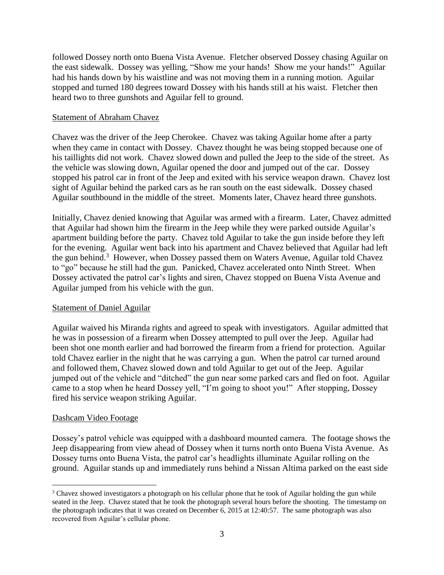followed Dossey north onto Buena Vista Avenue. Fletcher observed Dossey chasing Aguilar on the east sidewalk. Dossey was yelling, "Show me your hands! Show me your hands!" Aguilar had his hands down by his waistline and was not moving them in a running motion. Aguilar stopped and turned 180 degrees toward Dossey with his hands still at his waist. Fletcher then heard two to three gunshots and Aguilar fell to ground.

#### Statement of Abraham Chavez

Chavez was the driver of the Jeep Cherokee. Chavez was taking Aguilar home after a party when they came in contact with Dossey. Chavez thought he was being stopped because one of his taillights did not work. Chavez slowed down and pulled the Jeep to the side of the street. As the vehicle was slowing down, Aguilar opened the door and jumped out of the car. Dossey stopped his patrol car in front of the Jeep and exited with his service weapon drawn. Chavez lost sight of Aguilar behind the parked cars as he ran south on the east sidewalk. Dossey chased Aguilar southbound in the middle of the street. Moments later, Chavez heard three gunshots.

Initially, Chavez denied knowing that Aguilar was armed with a firearm. Later, Chavez admitted that Aguilar had shown him the firearm in the Jeep while they were parked outside Aguilar's apartment building before the party. Chavez told Aguilar to take the gun inside before they left for the evening. Aguilar went back into his apartment and Chavez believed that Aguilar had left the gun behind.<sup>3</sup> However, when Dossey passed them on Waters Avenue, Aguilar told Chavez to "go" because he still had the gun. Panicked, Chavez accelerated onto Ninth Street. When Dossey activated the patrol car's lights and siren, Chavez stopped on Buena Vista Avenue and Aguilar jumped from his vehicle with the gun.

#### Statement of Daniel Aguilar

Aguilar waived his Miranda rights and agreed to speak with investigators. Aguilar admitted that he was in possession of a firearm when Dossey attempted to pull over the Jeep. Aguilar had been shot one month earlier and had borrowed the firearm from a friend for protection. Aguilar told Chavez earlier in the night that he was carrying a gun. When the patrol car turned around and followed them, Chavez slowed down and told Aguilar to get out of the Jeep. Aguilar jumped out of the vehicle and "ditched" the gun near some parked cars and fled on foot. Aguilar came to a stop when he heard Dossey yell, "I'm going to shoot you!" After stopping, Dossey fired his service weapon striking Aguilar.

#### Dashcam Video Footage

 $\overline{a}$ 

Dossey's patrol vehicle was equipped with a dashboard mounted camera. The footage shows the Jeep disappearing from view ahead of Dossey when it turns north onto Buena Vista Avenue. As Dossey turns onto Buena Vista, the patrol car's headlights illuminate Aguilar rolling on the ground. Aguilar stands up and immediately runs behind a Nissan Altima parked on the east side

<sup>&</sup>lt;sup>3</sup> Chavez showed investigators a photograph on his cellular phone that he took of Aguilar holding the gun while seated in the Jeep. Chavez stated that he took the photograph several hours before the shooting. The timestamp on the photograph indicates that it was created on December 6, 2015 at 12:40:57. The same photograph was also recovered from Aguilar's cellular phone.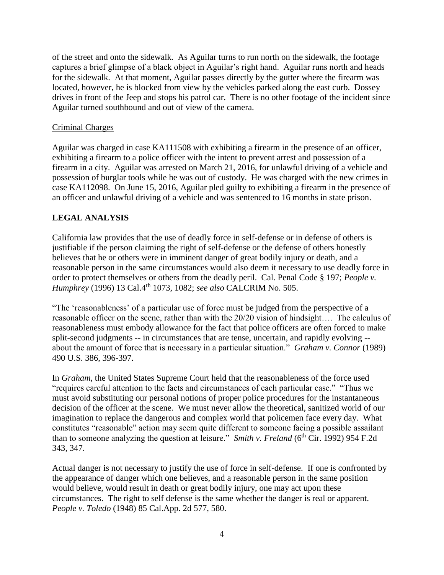of the street and onto the sidewalk. As Aguilar turns to run north on the sidewalk, the footage captures a brief glimpse of a black object in Aguilar's right hand. Aguilar runs north and heads for the sidewalk. At that moment, Aguilar passes directly by the gutter where the firearm was located, however, he is blocked from view by the vehicles parked along the east curb. Dossey drives in front of the Jeep and stops his patrol car. There is no other footage of the incident since Aguilar turned southbound and out of view of the camera.

#### Criminal Charges

Aguilar was charged in case KA111508 with exhibiting a firearm in the presence of an officer, exhibiting a firearm to a police officer with the intent to prevent arrest and possession of a firearm in a city. Aguilar was arrested on March 21, 2016, for unlawful driving of a vehicle and possession of burglar tools while he was out of custody. He was charged with the new crimes in case KA112098. On June 15, 2016, Aguilar pled guilty to exhibiting a firearm in the presence of an officer and unlawful driving of a vehicle and was sentenced to 16 months in state prison.

## **LEGAL ANALYSIS**

California law provides that the use of deadly force in self-defense or in defense of others is justifiable if the person claiming the right of self-defense or the defense of others honestly believes that he or others were in imminent danger of great bodily injury or death, and a reasonable person in the same circumstances would also deem it necessary to use deadly force in order to protect themselves or others from the deadly peril. Cal. Penal Code § 197; *People v. Humphrey* (1996) 13 Cal.4th 1073, 1082; *see also* CALCRIM No. 505.

"The 'reasonableness' of a particular use of force must be judged from the perspective of a reasonable officer on the scene, rather than with the 20/20 vision of hindsight…. The calculus of reasonableness must embody allowance for the fact that police officers are often forced to make split-second judgments -- in circumstances that are tense, uncertain, and rapidly evolving - about the amount of force that is necessary in a particular situation." *Graham v. Connor* (1989) 490 U.S. 386, 396-397.

In *Graham*, the United States Supreme Court held that the reasonableness of the force used "requires careful attention to the facts and circumstances of each particular case." "Thus we must avoid substituting our personal notions of proper police procedures for the instantaneous decision of the officer at the scene. We must never allow the theoretical, sanitized world of our imagination to replace the dangerous and complex world that policemen face every day. What constitutes "reasonable" action may seem quite different to someone facing a possible assailant than to someone analyzing the question at leisure." *Smith v. Freland* (6<sup>th</sup> Cir. 1992) 954 F.2d 343, 347.

Actual danger is not necessary to justify the use of force in self-defense. If one is confronted by the appearance of danger which one believes, and a reasonable person in the same position would believe, would result in death or great bodily injury, one may act upon these circumstances. The right to self defense is the same whether the danger is real or apparent. *People v. Toledo* (1948) 85 Cal.App. 2d 577, 580.